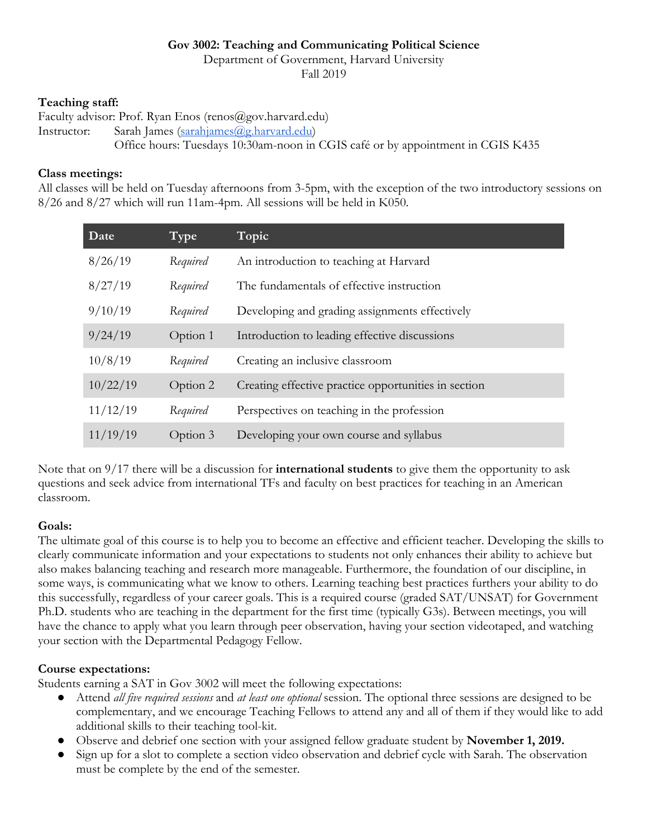#### **Gov 3002: Teaching and Communicating Political Science**

Department of Government, Harvard University

Fall 2019

### **Teaching staff:**

Faculty advisor: Prof. Ryan Enos (renos@gov.harvard.edu) Instructor: Sarah James (sarahjames@g.harvard.edu) Office hours: Tuesdays 10:30am-noon in CGIS café or by appointment in CGIS K435

### **Class meetings:**

All classes will be held on Tuesday afternoons from 3-5pm, with the exception of the two introductory sessions on 8/26 and 8/27 which will run 11am-4pm. All sessions will be held in K050.

| Date     | Type     | Topic                                                |
|----------|----------|------------------------------------------------------|
| 8/26/19  | Required | An introduction to teaching at Harvard               |
| 8/27/19  | Required | The fundamentals of effective instruction            |
| 9/10/19  | Required | Developing and grading assignments effectively       |
| 9/24/19  | Option 1 | Introduction to leading effective discussions        |
| 10/8/19  | Required | Creating an inclusive classroom                      |
| 10/22/19 | Option 2 | Creating effective practice opportunities in section |
| 11/12/19 | Required | Perspectives on teaching in the profession           |
| 11/19/19 | Option 3 | Developing your own course and syllabus              |

Note that on 9/17 there will be a discussion for **international students** to give them the opportunity to ask questions and seek advice from international TFs and faculty on best practices for teaching in an American classroom.

# **Goals:**

The ultimate goal of this course is to help you to become an effective and efficient teacher. Developing the skills to clearly communicate information and your expectations to students not only enhances their ability to achieve but also makes balancing teaching and research more manageable. Furthermore, the foundation of our discipline, in some ways, is communicating what we know to others. Learning teaching best practices furthers your ability to do this successfully, regardless of your career goals. This is a required course (graded SAT/UNSAT) for Government Ph.D. students who are teaching in the department for the first time (typically G3s). Between meetings, you will have the chance to apply what you learn through peer observation, having your section videotaped, and watching your section with the Departmental Pedagogy Fellow.

# **Course expectations:**

Students earning a SAT in Gov 3002 will meet the following expectations:

- Attend *all five required sessions* and *at least one optional* session. The optional three sessions are designed to be complementary, and we encourage Teaching Fellows to attend any and all of them if they would like to add additional skills to their teaching tool-kit.
- Observe and debrief one section with your assigned fellow graduate student by **November 1, 2019.**
- Sign up for a slot to complete a section video observation and debrief cycle with Sarah. The observation must be complete by the end of the semester.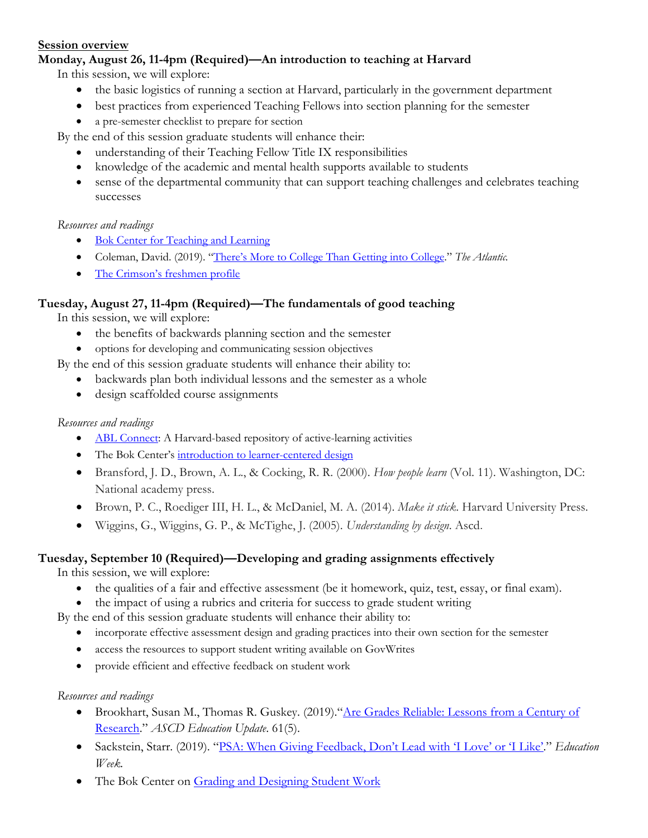#### **Session overview**

# **Monday, August 26, 11-4pm (Required)—An introduction to teaching at Harvard**

In this session, we will explore:

- the basic logistics of running a section at Harvard, particularly in the government department
- best practices from experienced Teaching Fellows into section planning for the semester
- a pre-semester checklist to prepare for section

By the end of this session graduate students will enhance their:

- understanding of their Teaching Fellow Title IX responsibilities
- knowledge of the academic and mental health supports available to students
- sense of the departmental community that can support teaching challenges and celebrates teaching successes

#### *Resources and readings*

- Bok Center for Teaching and Learning
- Coleman, David. (2019). "There's More to College Than Getting into College." *The Atlantic.*
- The Crimson's freshmen profile

### **Tuesday, August 27, 11-4pm (Required)—The fundamentals of good teaching**

In this session, we will explore:

- the benefits of backwards planning section and the semester
- options for developing and communicating session objectives

By the end of this session graduate students will enhance their ability to:

- backwards plan both individual lessons and the semester as a whole
- design scaffolded course assignments

### *Resources and readings*

- ABL Connect: A Harvard-based repository of active-learning activities
- The Bok Center's introduction to learner-centered design
- Bransford, J. D., Brown, A. L., & Cocking, R. R. (2000). *How people learn* (Vol. 11). Washington, DC: National academy press.
- Brown, P. C., Roediger III, H. L., & McDaniel, M. A. (2014). *Make it stick*. Harvard University Press.
- Wiggins, G., Wiggins, G. P., & McTighe, J. (2005). *Understanding by design*. Ascd.

# **Tuesday, September 10 (Required)—Developing and grading assignments effectively**

In this session, we will explore:

- the qualities of a fair and effective assessment (be it homework, quiz, test, essay, or final exam).
- the impact of using a rubrics and criteria for success to grade student writing

By the end of this session graduate students will enhance their ability to:

- incorporate effective assessment design and grading practices into their own section for the semester
- access the resources to support student writing available on GovWrites
- provide efficient and effective feedback on student work

#### *Resources and readings*

- Brookhart, Susan M., Thomas R. Guskey. (2019). "Are Grades Reliable: Lessons from a Century of Research." *ASCD Education Update*. 61(5).
- Sackstein, Starr. (2019). "PSA: When Giving Feedback, Don't Lead with 'I Love' or 'I Like'." *Education Week.*
- The Bok Center on Grading and Designing Student Work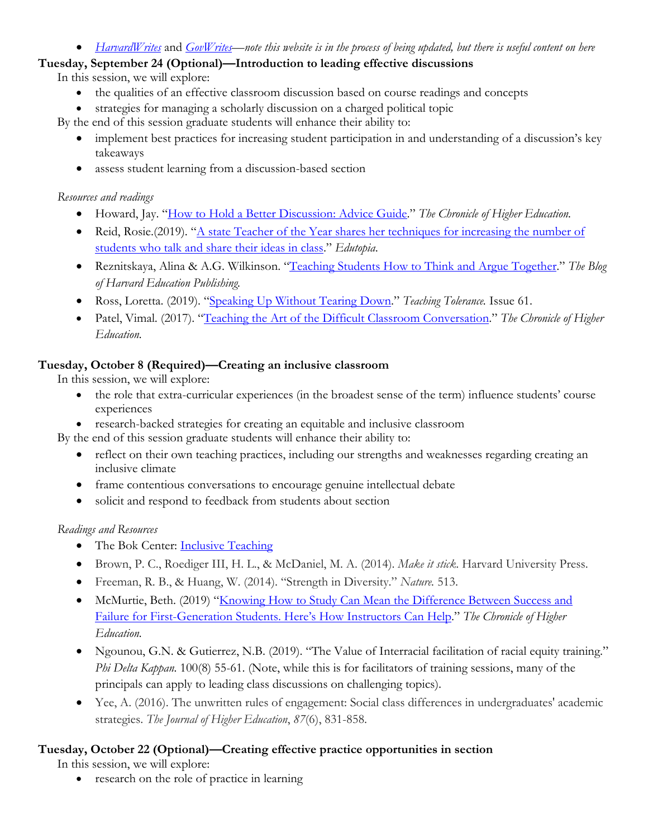#### • *HarvardWrites* and *GovWrites—note this website is in the process of being updated, but there is useful content on here*

# **Tuesday, September 24 (Optional)—Introduction to leading effective discussions**

In this session, we will explore:

- the qualities of an effective classroom discussion based on course readings and concepts
- strategies for managing a scholarly discussion on a charged political topic

By the end of this session graduate students will enhance their ability to:

- implement best practices for increasing student participation in and understanding of a discussion's key takeaways
- assess student learning from a discussion-based section

# *Resources and readings*

- Howard, Jay. "How to Hold a Better Discussion: Advice Guide." *The Chronicle of Higher Education.*
- Reid, Rosie.(2019). "A state Teacher of the Year shares her techniques for increasing the number of students who talk and share their ideas in class." *Edutopia*.
- Reznitskaya, Alina & A.G. Wilkinson. "Teaching Students How to Think and Argue Together." *The Blog of Harvard Education Publishing.*
- Ross, Loretta. (2019). "Speaking Up Without Tearing Down." *Teaching Tolerance.* Issue 61.
- Patel, Vimal. (2017). "Teaching the Art of the Difficult Classroom Conversation." *The Chronicle of Higher Education.*

# **Tuesday, October 8 (Required)—Creating an inclusive classroom**

In this session, we will explore:

- the role that extra-curricular experiences (in the broadest sense of the term) influence students' course experiences
- research-backed strategies for creating an equitable and inclusive classroom

By the end of this session graduate students will enhance their ability to:

- reflect on their own teaching practices, including our strengths and weaknesses regarding creating an inclusive climate
- frame contentious conversations to encourage genuine intellectual debate
- solicit and respond to feedback from students about section

# *Readings and Resources*

- The Bok Center: **Inclusive Teaching**
- Brown, P. C., Roediger III, H. L., & McDaniel, M. A. (2014). *Make it stick*. Harvard University Press.
- Freeman, R. B., & Huang, W. (2014). "Strength in Diversity." *Nature.* 513.
- McMurtie, Beth. (2019) "Knowing How to Study Can Mean the Difference Between Success and Failure for First-Generation Students. Here's How Instructors Can Help." *The Chronicle of Higher Education.*
- Ngounou, G.N. & Gutierrez, N.B. (2019). "The Value of Interracial facilitation of racial equity training." *Phi Delta Kappan.* 100(8) 55-61. (Note, while this is for facilitators of training sessions, many of the principals can apply to leading class discussions on challenging topics).
- Yee, A. (2016). The unwritten rules of engagement: Social class differences in undergraduates' academic strategies. *The Journal of Higher Education*, *87*(6), 831-858.

# **Tuesday, October 22 (Optional)—Creating effective practice opportunities in section**

In this session, we will explore:

• research on the role of practice in learning